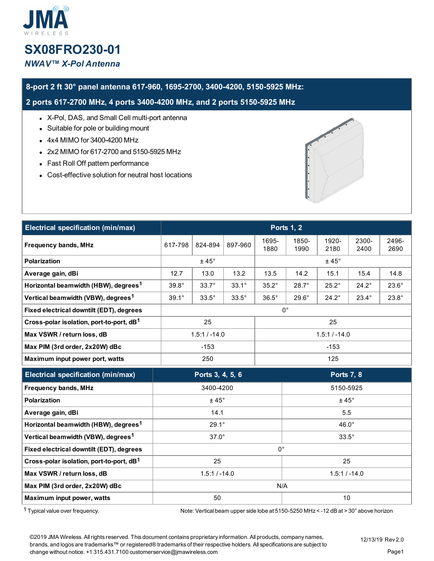# **SX08FRO230-01** *NWAV™ X-Pol Antenna*

## **8-port 2 ft 30° panel antenna 617-960, 1695-2700, 3400-4200, 5150-5925 MHz:**

**2 ports 617-2700 MHz, 4 ports 3400-4200 MHz, and 2 ports 5150-5925 MHz**

- X-Pol, DAS, and Small Cell multi-port antenna
- Suitable for pole or building mount
- 4x4 MIMO for 3400-4200 MHz
- 2x2 MIMO for 617-2700 and 5150-5925 MHz
- Fast Roll Off pattern performance
- Cost-effective solution for neutral host locations



| Electrical specification (min/max)                   | <b>Ports 1, 2</b> |              |                   |                 |               |               |               |               |
|------------------------------------------------------|-------------------|--------------|-------------------|-----------------|---------------|---------------|---------------|---------------|
| <b>Frequency bands, MHz</b>                          | 617-798           | 824-894      | 897-960           | 1695-<br>1880   | 1850-<br>1990 | 1920-<br>2180 | 2300-<br>2400 | 2496-<br>2690 |
| <b>Polarization</b>                                  | $±45^{\circ}$     |              |                   | $± 45^\circ$    |               |               |               |               |
| Average gain, dBi                                    | 12.7              | 13.0         | 13.2              | 13.5            | 14.2          | 15.1          | 15.4          | 14.8          |
| Horizontal beamwidth (HBW), degrees <sup>1</sup>     | $39.8^\circ$      | $33.7^\circ$ | $33.1^\circ$      | $35.2^\circ$    | $28.7^\circ$  | $25.2^\circ$  | $24.2^\circ$  | $23.6^\circ$  |
| Vertical beamwidth (VBW), degrees <sup>1</sup>       | $39.1^\circ$      | $33.5^\circ$ | $33.5^\circ$      | $36.5^\circ$    | $29.6^\circ$  | $24.2^\circ$  | $23.4^\circ$  | $23.8^\circ$  |
| Fixed electrical downtilt (EDT), degrees             | $0^{\circ}$       |              |                   |                 |               |               |               |               |
| Cross-polar isolation, port-to-port, dB <sup>1</sup> | 25                |              | 25                |                 |               |               |               |               |
| Max VSWR / return loss, dB                           | $1.5:1 / -14.0$   |              |                   | $1.5:1 / -14.0$ |               |               |               |               |
| Max PIM (3rd order, 2x20W) dBc                       | $-153$            |              | $-153$            |                 |               |               |               |               |
| Maximum input power port, watts                      | 250               |              | 125               |                 |               |               |               |               |
| Electrical specification (min/max)                   | Ports 3, 4, 5, 6  |              | <b>Ports 7, 8</b> |                 |               |               |               |               |
| <b>Frequency bands, MHz</b>                          | 3400-4200         |              |                   | 5150-5925       |               |               |               |               |
| Polarization                                         | $±45^{\circ}$     |              |                   | $±45^{\circ}$   |               |               |               |               |
| Average gain, dBi                                    | 14.1              |              |                   | 5.5             |               |               |               |               |
| Horizontal beamwidth (HBW), degrees <sup>1</sup>     | $29.1^\circ$      |              |                   | 46.0°           |               |               |               |               |
| Vertical beamwidth (VBW), degrees <sup>1</sup>       | $37.0^\circ$      |              | $33.5^\circ$      |                 |               |               |               |               |
| Fixed electrical downtilt (EDT), degrees             | $0^{\circ}$       |              |                   |                 |               |               |               |               |
| Cross-polar isolation, port-to-port, dB <sup>1</sup> | 25                |              |                   | 25              |               |               |               |               |
| Max VSWR / return loss, dB                           | $1.5:1 / -14.0$   |              |                   | $1.5:1 / -14.0$ |               |               |               |               |
| Max PIM (3rd order, 2x20W) dBc                       | N/A               |              |                   |                 |               |               |               |               |
| Maximum input power, watts                           | 50                |              | 10                |                 |               |               |               |               |

1 Typical value over frequency. Note: Vertical beam upper side lobe at 5150-5250 MHz < -12 dB at > 30° above horizon

©2019 JMA Wireless. Allrights reserved. This document contains proprietary information. All products, company names, brands, and logos are trademarks™ or registered® trademarks of their respective holders. All specifications are subject to change without notice. +1 315.431.7100 customerservice@jmawireless.com